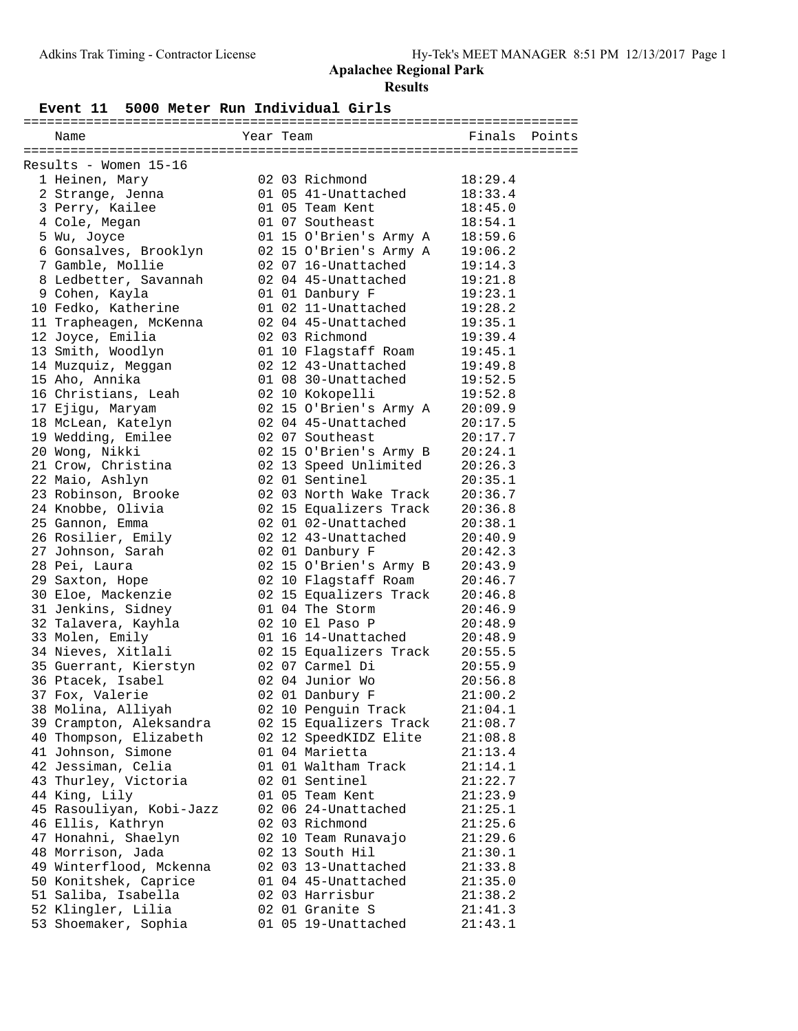# **Apalachee Regional Park Results**

#### **Event 11 5000 Meter Run Individual Girls**

| Name                                  | Year Team |                        | Finals  | Points |
|---------------------------------------|-----------|------------------------|---------|--------|
|                                       |           |                        |         |        |
| Results - Women 15-16                 |           |                        |         |        |
| 1 Heinen, Mary                        |           | 02 03 Richmond         | 18:29.4 |        |
| 2 Strange, Jenna                      |           | 01 05 41-Unattached    | 18:33.4 |        |
| 3 Perry, Kailee                       |           | 01 05 Team Kent        | 18:45.0 |        |
| 4 Cole, Megan                         |           | 01 07 Southeast        | 18:54.1 |        |
| 5 Wu, Joyce                           |           | 01 15 O'Brien's Army A | 18:59.6 |        |
| 6 Gonsalves, Brooklyn                 |           | 02 15 O'Brien's Army A | 19:06.2 |        |
| 7 Gamble, Mollie                      |           | 02 07 16-Unattached    | 19:14.3 |        |
| 8 Ledbetter, Savannah                 |           | 02 04 45-Unattached    | 19:21.8 |        |
| 9 Cohen, Kayla                        |           | 01 01 Danbury F        | 19:23.1 |        |
| 10 Fedko, Katherine                   |           | 01 02 11-Unattached    | 19:28.2 |        |
| 11 Trapheagen, McKenna                |           | 02 04 45-Unattached    | 19:35.1 |        |
| 12 Joyce, Emilia                      |           | 02 03 Richmond         | 19:39.4 |        |
| 13 Smith, Woodlyn                     |           | 01 10 Flagstaff Roam   | 19:45.1 |        |
| 14 Muzquiz, Meggan                    |           | 02 12 43-Unattached    | 19:49.8 |        |
| 15 Aho, Annika                        |           | 01 08 30-Unattached    | 19:52.5 |        |
| 16 Christians, Leah                   |           | 02 10 Kokopelli        | 19:52.8 |        |
| 17 Ejigu, Maryam                      |           | 02 15 O'Brien's Army A | 20:09.9 |        |
| 18 McLean, Katelyn                    |           | 02 04 45-Unattached    | 20:17.5 |        |
| 19 Wedding, Emilee                    |           | 02 07 Southeast        | 20:17.7 |        |
| 20 Wong, Nikki                        |           | 02 15 O'Brien's Army B | 20:24.1 |        |
| 21 Crow, Christina                    |           | 02 13 Speed Unlimited  | 20:26.3 |        |
| 22 Maio, Ashlyn                       |           | 02 01 Sentinel         | 20:35.1 |        |
| 23 Robinson, Brooke                   |           | 02 03 North Wake Track | 20:36.7 |        |
| 24 Knobbe, Olivia                     |           | 02 15 Equalizers Track | 20:36.8 |        |
| 25 Gannon, Emma                       |           | 02 01 02-Unattached    | 20:38.1 |        |
| 26 Rosilier, Emily                    |           | 02 12 43-Unattached    | 20:40.9 |        |
| 27 Johnson, Sarah                     |           | 02 01 Danbury F        | 20:42.3 |        |
| 28 Pei, Laura                         |           | 02 15 O'Brien's Army B | 20:43.9 |        |
|                                       |           | 02 10 Flagstaff Roam   | 20:46.7 |        |
| 29 Saxton, Hope<br>30 Eloe, Mackenzie |           | 02 15 Equalizers Track | 20:46.8 |        |
| 31 Jenkins, Sidney                    |           | 01 04 The Storm        | 20:46.9 |        |
|                                       |           | 02 10 El Paso P        | 20:48.9 |        |
| 32 Talavera, Kayhla                   |           | 01 16 14-Unattached    |         |        |
| 33 Molen, Emily                       |           |                        | 20:48.9 |        |
| 34 Nieves, Xitlali                    |           | 02 15 Equalizers Track | 20:55.5 |        |
| 35 Guerrant, Kierstyn                 |           | 02 07 Carmel Di        | 20:55.9 |        |
| 36 Ptacek, Isabel                     |           | 02 04 Junior Wo        | 20:56.8 |        |
| 37 Fox, Valerie                       |           | 02 01 Danbury F        | 21:00.2 |        |
| 38 Molina, Alliyah                    |           | 02 10 Penguin Track    | 21:04.1 |        |
| 39 Crampton, Aleksandra               |           | 02 15 Equalizers Track | 21:08.7 |        |
| 40 Thompson, Elizabeth                |           | 02 12 SpeedKIDZ Elite  | 21:08.8 |        |
| 41 Johnson, Simone                    |           | 01 04 Marietta         | 21:13.4 |        |
| 42 Jessiman, Celia                    |           | 01 01 Waltham Track    | 21:14.1 |        |
| 43 Thurley, Victoria                  |           | 02 01 Sentinel         | 21:22.7 |        |
| 44 King, Lily                         |           | 01 05 Team Kent        | 21:23.9 |        |
| 45 Rasouliyan, Kobi-Jazz              |           | 02 06 24-Unattached    | 21:25.1 |        |
| 46 Ellis, Kathryn                     |           | 02 03 Richmond         | 21:25.6 |        |
| 47 Honahni, Shaelyn                   |           | 02 10 Team Runavajo    | 21:29.6 |        |
| 48 Morrison, Jada                     |           | 02 13 South Hil        | 21:30.1 |        |
| 49 Winterflood, Mckenna               |           | 02 03 13-Unattached    | 21:33.8 |        |
| 50 Konitshek, Caprice                 |           | 01 04 45-Unattached    | 21:35.0 |        |
| 51 Saliba, Isabella                   |           | 02 03 Harrisbur        | 21:38.2 |        |
| 52 Klingler, Lilia                    |           | 02 01 Granite S        | 21:41.3 |        |
| 53 Shoemaker, Sophia                  |           | 01 05 19-Unattached    | 21:43.1 |        |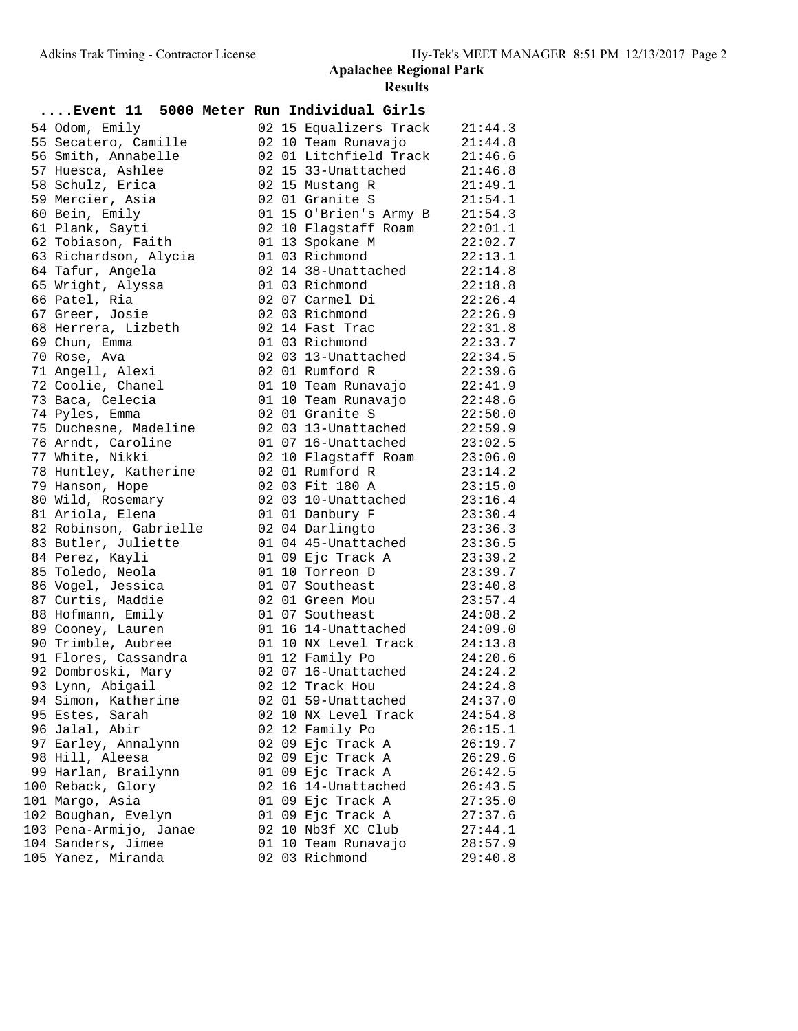### **Apalachee Regional Park Results**

| Event 11 5000 Meter Run Individual Girls |  |                              |         |
|------------------------------------------|--|------------------------------|---------|
| 54 Odom, Emily                           |  | 02 15 Equalizers Track       | 21:44.3 |
| 55 Secatero, Camille                     |  | 02 10 Team Runavajo          | 21:44.8 |
| 56 Smith, Annabelle                      |  | 02 01 Litchfield Track       | 21:46.6 |
| 57 Huesca, Ashlee                        |  | 02 15 33-Unattached          | 21:46.8 |
| 58 Schulz, Erica                         |  | 02 15 Mustang R              | 21:49.1 |
| 59 Mercier, Asia                         |  | 02 01 Granite S              | 21:54.1 |
| 60 Bein, Emily                           |  | 01 15 O'Brien's Army B       | 21:54.3 |
| 61 Plank, Sayti                          |  | 02 10 Flagstaff Roam         | 22:01.1 |
| 62 Tobiason, Faith                       |  | 01 13 Spokane M              | 22:02.7 |
| 63 Richardson, Alycia                    |  | 01 03 Richmond               | 22:13.1 |
| 64 Tafur, Angela                         |  | 02 14 38-Unattached          | 22:14.8 |
| 65 Wright, Alyssa                        |  | 01 03 Richmond               | 22:18.8 |
| 66 Patel, Ria                            |  | 02 07 Carmel Di              | 22:26.4 |
| 67 Greer, Josie                          |  | 02 03 Richmond               | 22:26.9 |
| 68 Herrera, Lizbeth                      |  | $02$ 14 Fast Trac            | 22:31.8 |
| 69 Chun, Emma                            |  | 01 03 Richmond               | 22:33.7 |
| 70 Rose, Ava                             |  | 02 03 13-Unattached 22:34.5  |         |
| 71 Angell, Alexi                         |  | 02 01 Rumford R              | 22:39.6 |
| 72 Coolie, Chanel                        |  | 01 10 Team Runavajo          | 22:41.9 |
| 73 Baca, Celecia                         |  | 01 10 Team Runavajo          | 22:48.6 |
| 74 Pyles, Emma                           |  | 02 01 Granite S              | 22:50.0 |
| 75 Duchesne, Madeline                    |  | 02 03 13-Unattached 22:59.9  |         |
| 76 Arndt, Caroline                       |  | 01 07 16-Unattached 23:02.5  |         |
| 77 White, Nikki                          |  | 02 10 Flagstaff Roam 23:06.0 |         |
| 78 Huntley, Katherine                    |  | 02 01 Rumford R              | 23:14.2 |
| 79 Hanson, Hope                          |  | 02 03 Fit 180 A              | 23:15.0 |
| 80 Wild, Rosemary                        |  | 02 03 10-Unattached          | 23:16.4 |
| 81 Ariola, Elena                         |  | 01 01 Danbury F              | 23:30.4 |
| 82 Robinson, Gabrielle                   |  | 02 04 Darlingto              | 23:36.3 |
| 83 Butler, Juliette                      |  | 01 04 45-Unattached 23:36.5  |         |
| 84 Perez, Kayli                          |  | 01 09 Ejc Track A            | 23:39.2 |
| 85 Toledo, Neola                         |  | 01 10 Torreon D              | 23:39.7 |
| 86 Vogel, Jessica                        |  | 01 07 Southeast              | 23:40.8 |
| 87 Curtis, Maddie                        |  | 02 01 Green Mou 23:57.4      |         |
| 88 Hofmann, Emily                        |  | 01 07 Southeast              | 24:08.2 |
| 89 Cooney, Lauren                        |  | 01 16 14-Unattached 24:09.0  |         |
| 90 Trimble, Aubree                       |  | 01 10 NX Level Track 24:13.8 |         |
| 91 Flores, Cassandra                     |  | 01 12 Family Po              | 24:20.6 |
| 92 Dombroski, Mary                       |  | 02 07 16-Unattached          | 24:24.2 |
| 93 Lynn, Abigail                         |  | 02 12 Track Hou              | 24:24.8 |
| 94 Simon, Katherine                      |  | 02 01 59-Unattached          | 24:37.0 |
| 95 Estes, Sarah                          |  | 02 10 NX Level Track         | 24:54.8 |
| 96 Jalal, Abir                           |  | 02 12 Family Po              | 26:15.1 |
| 97 Earley, Annalynn                      |  | 02 09 Ejc Track A            | 26:19.7 |
| 98 Hill, Aleesa                          |  | 02 09 Ejc Track A            | 26:29.6 |
| 99 Harlan, Brailynn                      |  | 01 09 Ejc Track A            | 26:42.5 |
| 100 Reback, Glory                        |  | 02 16 14-Unattached          | 26:43.5 |
| 101 Margo, Asia                          |  | 01 09 Ejc Track A            | 27:35.0 |
| 102 Boughan, Evelyn                      |  | 01 09 Ejc Track A            | 27:37.6 |
| 103 Pena-Armijo, Janae                   |  | 02 10 Nb3f XC Club           | 27:44.1 |
| 104 Sanders, Jimee                       |  | 01 10 Team Runavajo          | 28:57.9 |
| 105 Yanez, Miranda                       |  | 02 03 Richmond               | 29:40.8 |